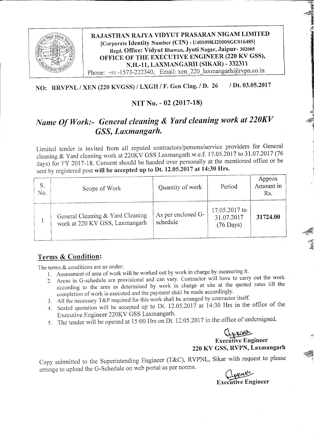

RAJASTHAN RAJYA VIDYUT PRASARAN NIGAM LIMITED Icorporate Identify Number (cIN) : u40109RJ2000SGC01648s] Regd. Office: Vidyut Bhawan, Jyoti Nagar, Jaipur- <sup>302005</sup> OFFICE OF THE EXECUTIVE ENGINEER (220 KV GSS), N.H.-11, LAXMANGARH (SIKAR) - 332311 Phone: +91-1573-222340, Email: xen\_220\_laxmangarh@rvpn.co.in

## NO: RRVPNL / XEN (220 KVGSS) / LXGH / F. Gen Clng. / D. 26 / Dt. 03.05.2017

#### NIT No. - 02 (2017-18)

# Name Of Work:- General cleaning & Yard cleaning work at 220KV GSS, Laxmangarh.

Limited tender is invited from all reputed contractors/persons/service providers for General cleaning & yard cleaning work at 22OKY GSS Laxmangarh w.e.f. 17.05.2017 to 31.07.2017 (76 days) for FY 2017-18. Consent should be handed over personally at the mentioned office or be sent by registered post will be accepted up to Dt. 12.05.2017 at 14:30 Hrs.

| S.<br>No. | Scope of Work                                                      | Quantity of work               | Period                                             | Approx<br>Amount in<br>Rs. |
|-----------|--------------------------------------------------------------------|--------------------------------|----------------------------------------------------|----------------------------|
|           | General Cleaning & Yard Cleaning<br>work at 220 KV GSS, Laxmangarh | As per enclosed G-<br>schedule | 17.05.2017 to<br>31.07.2017<br>$(76 \text{ Days})$ | 31724.00                   |

## Terms & Condition:

The terms  $&$  conditions are as under:

- 1. Assessment of area of work will be worked out by work in charge by measuring it.
- 2. Areas in G-schedule are provisional and can vary. Contractor will have to carry out the work Areas in G-schedule are provisional and can vary. Conductor with the quoted rates till the according to the area as determined by work in charge at site at the quoted rates till the completion of work is executed and the payment shall be made accordingly.
- 3. All the necessary  $T\&P$  required for this work shall be arranged by contractor itself.
- 4. Sealed quotation will be accepted up to Dt. 12.05.2017 at 14:30 Hrs in the office of the Executive Engineer 22OKY GSS Laxmangarh'
- 5. The tender will be opened at  $15:00$  Hrs on Dt. 12.05.2017 in the office of undersigned.

#### Appage Exccfiive Engineer 220 KY GSS, RVPN, Laxmangarh

\*- H &  $\epsilon$ ;t PI A &

flit

**In additional Company** 

il N the Marie 3 t8 3 c -# .{

ffi '.f:':

Copy submitted to the Superintending Engineer (T&C), RVPNL, Sikar with request to please arrange to upload the G-Schedule on web portal as per norms.

pparts **Executive Engineer**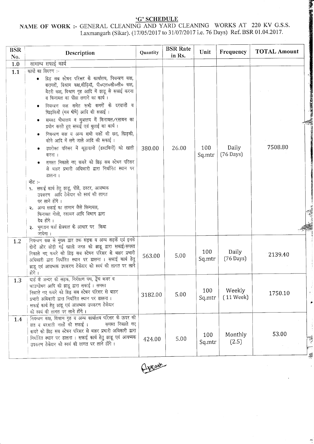¥

 $\sigma^2$ 

# $\underbrace{\textbf{G' SCHEDULE}}_{\textbf{Laxmanganh (Sikar). (17/05/2017 to 31/07/2017 i.e. 76 Days) Ref. BSR 01.04.2017.}}$

| <b>BSR</b><br>No. | Description                                                                                                                                                                                                                                                                                                                                                                                                                                                                                                                                                                                                                                                                                                                                                                                                                                                                                                                                                          | Quantity | <b>BSR</b> Rate<br>in Rs. | Unit          | Frequency                    | <b>TOTAL Amount</b> |
|-------------------|----------------------------------------------------------------------------------------------------------------------------------------------------------------------------------------------------------------------------------------------------------------------------------------------------------------------------------------------------------------------------------------------------------------------------------------------------------------------------------------------------------------------------------------------------------------------------------------------------------------------------------------------------------------------------------------------------------------------------------------------------------------------------------------------------------------------------------------------------------------------------------------------------------------------------------------------------------------------|----------|---------------------------|---------------|------------------------------|---------------------|
| 1.0               | सामान्य सफाई कार्य                                                                                                                                                                                                                                                                                                                                                                                                                                                                                                                                                                                                                                                                                                                                                                                                                                                                                                                                                   |          |                           |               |                              |                     |
| 1.1               | कार्यो का विवरण :-<br>ग्रिड़ सब स्टेषन परिसर के कार्यालय, नियन्त्रण कक्ष,<br>$\bullet$<br>बरामदों, विश्राम कक्ष,सीढ़ियाँ, पी०एल०सी०सी० कक्ष,<br>बैटरी कक्ष, विश्राम गृह आदि में झाडू से सफाई करना<br>व फिनायल का पोंछा लगाने का कार्य।<br>नियन्त्रण कक्ष समेत सभी कमरों के दरवाजों व<br>खिड़कियों (मय षीषे) आदि की सफाई।<br>समस्त षौचालय व मुत्रालय में फिनायल/रसायन का<br>प्रयोग करते हुए सफाई एवं धुलाई का कार्य।<br>नियन्त्रण कक्ष व अन्य सभी कक्षों की छत, खिड़की,<br>कोने आदि में लगे जाले आदि की सफाई।<br>उपरोक्त परिसर में कूड़ादानों (डस्टबिनों) को खाली<br>करना ।<br>समस्त निकाले गए कचरे को थ्रिड़ सब स्टेषन परिसर<br>से बाहर प्रभारी अधिकारी द्वारा निर्धारित स्थान पर<br>डालना ।<br>नोट :-<br>9. सफाई कार्य हेतु झाडू, पोंछे, डस्टर, आवष्यक<br>उपकरण आदि ठेकेदार को स्वयं की लागत<br>पर लाने होंगे ।<br>२. अन्य सफाई का सामान जैसे फिनायल,<br>फिनायल गोली, रसायन आदि विभाग द्वारा<br>देय होंगे ।<br>३. भुगतान फर्श क्षेत्रफल के आधार पर किया<br>जायेगा । | 380.00   | 26.00                     | 100<br>Sq.mtr | Daily<br>$(76 \text{ Days})$ | 7508.80<br>ą        |
| 1.2               | नियन्त्रण कक्ष से मुख्य द्वार तक सड़क व अन्य सड़कें एवं इनके<br>दोनों ओर छोड़ी गई खाली जगह की झाडू द्वारा सफाई।समस्त<br>निकाले गए कचरे को ग्रिड़ सब स्टेषन परिसर से बाहर प्रभारी<br>अधिकारी द्वारा निर्धारित स्थान पर डालना । सफाई कार्य हेतु<br>झाडू एवं आवष्यक उपकरण ठेकेदार को स्वयं की लागत पर लाने<br>होंगे ।                                                                                                                                                                                                                                                                                                                                                                                                                                                                                                                                                                                                                                                   | 563.00   | 5.00                      | 100<br>Sq.mtr | Daily<br>$(76 \text{ Days})$ | 2139.40             |
| 1.3               | यार्ड के अन्दर की सड़क, निरीक्षण पथ, ट्रेंच कवर व<br>फाउण्डेषन आदि की झाडू द्वारा सफाई। समस्त<br>निकाले गए कचरे को ग्रिड़ सब स्टेषन परिसर से बाहर<br>प्रभारी अधिकारी द्वारा निर्धारित स्थान पर डालना ।<br>सफाई कार्य हेतु झाडू एवं आवष्यक उपकरण ठेकेदार<br>को स्वयं की लागत पर लाने होंगे।                                                                                                                                                                                                                                                                                                                                                                                                                                                                                                                                                                                                                                                                           | 3182.00  | 5.00                      | 100<br>Sq.mtr | Weekly<br>(11 Week)          | 1750.10             |
| 1.4               | नियन्त्रण कक्ष, विश्राम गृह व अन्य कार्यालय परिसर के ऊपर की<br>छत व बरसाती नालों की सफाई ।<br>समस्त निकाले गए<br>कचरे को ग्रिड़ सब स्टेषन परिसर से बाहर प्रभारी अधिकारी द्वारा<br>निर्धारित स्थान पर डालना । सफाई कार्य हेतु झाडू एवं आवष्यक<br>उपकरण ठेकेदार को स्वयं की लागत पर लाने होंगे।                                                                                                                                                                                                                                                                                                                                                                                                                                                                                                                                                                                                                                                                        | 424.00   | 5.00                      | 100<br>Sq.mtr | Monthly<br>(2.5)             | 53.00               |